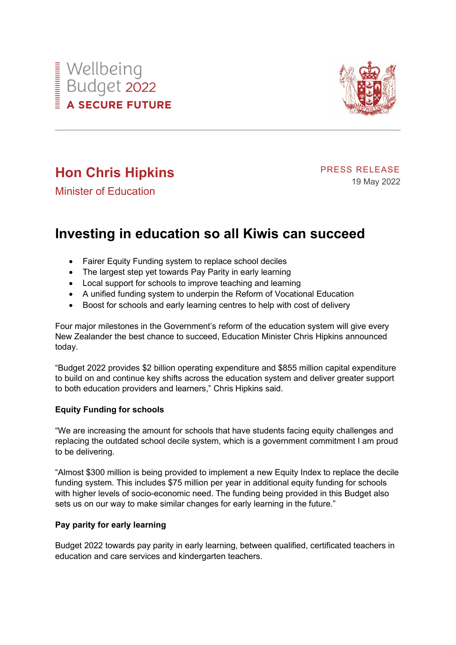



# **Hon Chris Hipkins**

PRESS RELEASE 19 May 2022

Minister of Education

## **Investing in education so all Kiwis can succeed**

- Fairer Equity Funding system to replace school deciles
- The largest step yet towards Pay Parity in early learning
- Local support for schools to improve teaching and learning
- A unified funding system to underpin the Reform of Vocational Education
- Boost for schools and early learning centres to help with cost of delivery

Four major milestones in the Government's reform of the education system will give every New Zealander the best chance to succeed, Education Minister Chris Hipkins announced today.

"Budget 2022 provides \$2 billion operating expenditure and \$855 million capital expenditure to build on and continue key shifts across the education system and deliver greater support to both education providers and learners," Chris Hipkins said.

### **Equity Funding for schools**

"We are increasing the amount for schools that have students facing equity challenges and replacing the outdated school decile system, which is a government commitment I am proud to be delivering.

"Almost \$300 million is being provided to implement a new Equity Index to replace the decile funding system. This includes \$75 million per year in additional equity funding for schools with higher levels of socio-economic need. The funding being provided in this Budget also sets us on our way to make similar changes for early learning in the future."

#### **Pay parity for early learning**

Budget 2022 towards pay parity in early learning, between qualified, certificated teachers in education and care services and kindergarten teachers.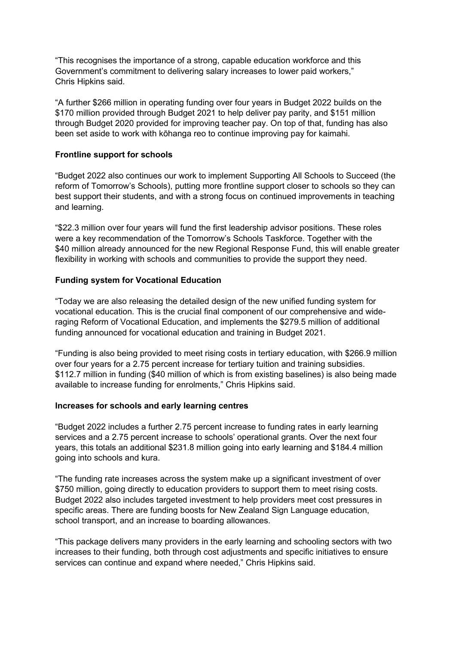"This recognises the importance of a strong, capable education workforce and this Government's commitment to delivering salary increases to lower paid workers," Chris Hipkins said.

"A further \$266 million in operating funding over four years in Budget 2022 builds on the \$170 million provided through Budget 2021 to help deliver pay parity, and \$151 million through Budget 2020 provided for improving teacher pay. On top of that, funding has also been set aside to work with kōhanga reo to continue improving pay for kaimahi.

#### **Frontline support for schools**

"Budget 2022 also continues our work to implement Supporting All Schools to Succeed (the reform of Tomorrow's Schools), putting more frontline support closer to schools so they can best support their students, and with a strong focus on continued improvements in teaching and learning.

"\$22.3 million over four years will fund the first leadership advisor positions. These roles were a key recommendation of the Tomorrow's Schools Taskforce. Together with the \$40 million already announced for the new Regional Response Fund, this will enable greater flexibility in working with schools and communities to provide the support they need.

#### **Funding system for Vocational Education**

"Today we are also releasing the detailed design of the new unified funding system for vocational education. This is the crucial final component of our comprehensive and wideraging Reform of Vocational Education, and implements the \$279.5 million of additional funding announced for vocational education and training in Budget 2021.

"Funding is also being provided to meet rising costs in tertiary education, with \$266.9 million over four years for a 2.75 percent increase for tertiary tuition and training subsidies. \$112.7 million in funding (\$40 million of which is from existing baselines) is also being made available to increase funding for enrolments," Chris Hipkins said.

#### **Increases for schools and early learning centres**

"Budget 2022 includes a further 2.75 percent increase to funding rates in early learning services and a 2.75 percent increase to schools' operational grants. Over the next four years, this totals an additional \$231.8 million going into early learning and \$184.4 million going into schools and kura.

"The funding rate increases across the system make up a significant investment of over \$750 million, going directly to education providers to support them to meet rising costs. Budget 2022 also includes targeted investment to help providers meet cost pressures in specific areas. There are funding boosts for New Zealand Sign Language education, school transport, and an increase to boarding allowances.

"This package delivers many providers in the early learning and schooling sectors with two increases to their funding, both through cost adjustments and specific initiatives to ensure services can continue and expand where needed," Chris Hipkins said.